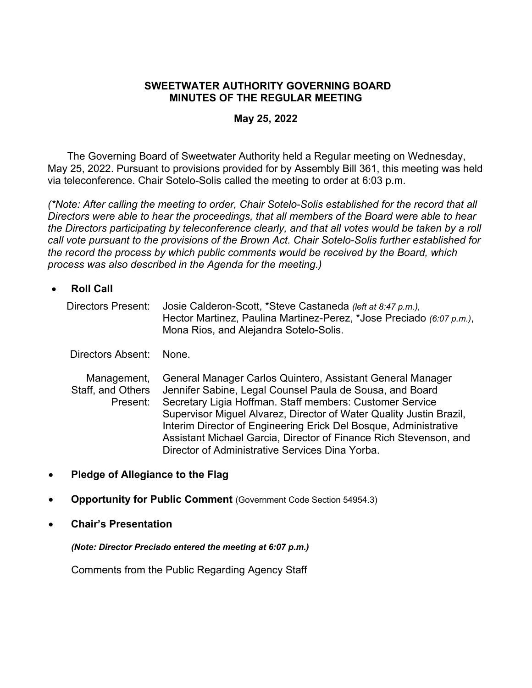### **SWEETWATER AUTHORITY GOVERNING BOARD MINUTES OF THE REGULAR MEETING**

#### **May 25, 2022**

 The Governing Board of Sweetwater Authority held a Regular meeting on Wednesday, May 25, 2022. Pursuant to provisions provided for by Assembly Bill 361, this meeting was held via teleconference. Chair Sotelo-Solis called the meeting to order at 6:03 p.m.

*(\*Note: After calling the meeting to order, Chair Sotelo-Solis established for the record that all Directors were able to hear the proceedings, that all members of the Board were able to hear the Directors participating by teleconference clearly, and that all votes would be taken by a roll call vote pursuant to the provisions of the Brown Act. Chair Sotelo-Solis further established for the record the process by which public comments would be received by the Board, which process was also described in the Agenda for the meeting.)* 

 **Roll Call**  Directors Present: Josie Calderon-Scott, \*Steve Castaneda *(left at 8:47 p.m.),* Hector Martinez, Paulina Martinez-Perez, \*Jose Preciado *(6:07 p.m.)*, Mona Rios, and Alejandra Sotelo-Solis.

Directors Absent: None.

Management, Staff, and Others Present: General Manager Carlos Quintero, Assistant General Manager Jennifer Sabine, Legal Counsel Paula de Sousa, and Board Secretary Ligia Hoffman. Staff members: Customer Service Supervisor Miguel Alvarez, Director of Water Quality Justin Brazil, Interim Director of Engineering Erick Del Bosque, Administrative Assistant Michael Garcia, Director of Finance Rich Stevenson, and Director of Administrative Services Dina Yorba.

- **Pledge of Allegiance to the Flag**
- **Opportunity for Public Comment** (Government Code Section 54954.3)
- **Chair's Presentation**

*(Note: Director Preciado entered the meeting at 6:07 p.m.)* 

Comments from the Public Regarding Agency Staff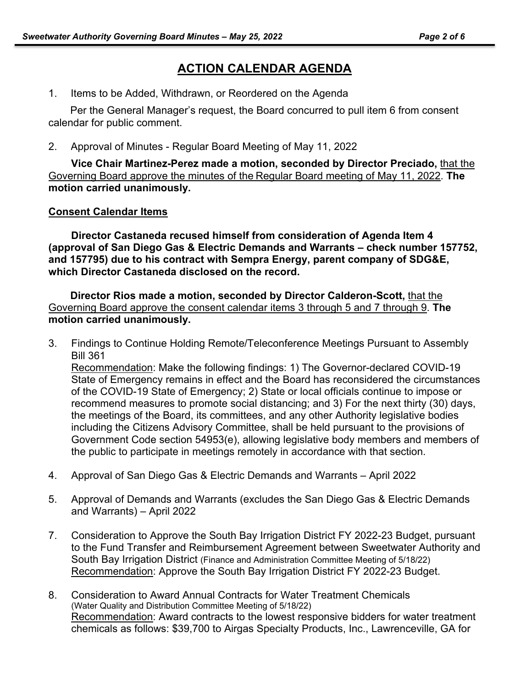## **ACTION CALENDAR AGENDA**

1. Items to be Added, Withdrawn, or Reordered on the Agenda

Per the General Manager's request, the Board concurred to pull item 6 from consent calendar for public comment.

2. Approval of Minutes - Regular Board Meeting of May 11, 2022

**Vice Chair Martinez-Perez made a motion, seconded by Director Preciado,** that the Governing Board approve the minutes of the Regular Board meeting of May 11, 2022. **The motion carried unanimously.**

## **Consent Calendar Items**

**Director Castaneda recused himself from consideration of Agenda Item 4 (approval of San Diego Gas & Electric Demands and Warrants – check number 157752, and 157795) due to his contract with Sempra Energy, parent company of SDG&E, which Director Castaneda disclosed on the record.** 

**Director Rios made a motion, seconded by Director Calderon-Scott,** that the Governing Board approve the consent calendar items 3 through 5 and 7 through 9. **The motion carried unanimously.** 

- 3. Findings to Continue Holding Remote/Teleconference Meetings Pursuant to Assembly Bill 361 Recommendation: Make the following findings: 1) The Governor-declared COVID-19 State of Emergency remains in effect and the Board has reconsidered the circumstances of the COVID-19 State of Emergency; 2) State or local officials continue to impose or recommend measures to promote social distancing; and 3) For the next thirty (30) days, the meetings of the Board, its committees, and any other Authority legislative bodies including the Citizens Advisory Committee, shall be held pursuant to the provisions of Government Code section 54953(e), allowing legislative body members and members of the public to participate in meetings remotely in accordance with that section.
- 4. Approval of San Diego Gas & Electric Demands and Warrants April 2022
- 5. Approval of Demands and Warrants (excludes the San Diego Gas & Electric Demands and Warrants) – April 2022
- 7. Consideration to Approve the South Bay Irrigation District FY 2022-23 Budget, pursuant to the Fund Transfer and Reimbursement Agreement between Sweetwater Authority and South Bay Irrigation District (Finance and Administration Committee Meeting of 5/18/22) Recommendation: Approve the South Bay Irrigation District FY 2022-23 Budget.
- 8. Consideration to Award Annual Contracts for Water Treatment Chemicals (Water Quality and Distribution Committee Meeting of 5/18/22) Recommendation: Award contracts to the lowest responsive bidders for water treatment chemicals as follows: \$39,700 to Airgas Specialty Products, Inc., Lawrenceville, GA for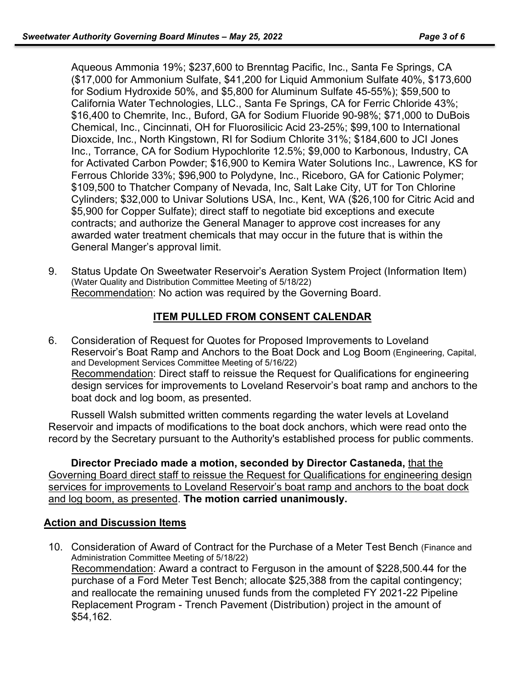Aqueous Ammonia 19%; \$237,600 to Brenntag Pacific, Inc., Santa Fe Springs, CA (\$17,000 for Ammonium Sulfate, \$41,200 for Liquid Ammonium Sulfate 40%, \$173,600 for Sodium Hydroxide 50%, and \$5,800 for Aluminum Sulfate 45-55%); \$59,500 to California Water Technologies, LLC., Santa Fe Springs, CA for Ferric Chloride 43%; \$16,400 to Chemrite, Inc., Buford, GA for Sodium Fluoride 90-98%; \$71,000 to DuBois Chemical, Inc., Cincinnati, OH for Fluorosilicic Acid 23-25%; \$99,100 to International Dioxcide, Inc., North Kingstown, RI for Sodium Chlorite 31%; \$184,600 to JCI Jones Inc., Torrance, CA for Sodium Hypochlorite 12.5%; \$9,000 to Karbonous, Industry, CA for Activated Carbon Powder; \$16,900 to Kemira Water Solutions Inc., Lawrence, KS for Ferrous Chloride 33%; \$96,900 to Polydyne, Inc., Riceboro, GA for Cationic Polymer; \$109,500 to Thatcher Company of Nevada, Inc, Salt Lake City, UT for Ton Chlorine Cylinders; \$32,000 to Univar Solutions USA, Inc., Kent, WA (\$26,100 for Citric Acid and \$5,900 for Copper Sulfate); direct staff to negotiate bid exceptions and execute contracts; and authorize the General Manager to approve cost increases for any awarded water treatment chemicals that may occur in the future that is within the General Manger's approval limit.

9. Status Update On Sweetwater Reservoir's Aeration System Project (Information Item) (Water Quality and Distribution Committee Meeting of 5/18/22) Recommendation: No action was required by the Governing Board.

## **ITEM PULLED FROM CONSENT CALENDAR**

6. Consideration of Request for Quotes for Proposed Improvements to Loveland Reservoir's Boat Ramp and Anchors to the Boat Dock and Log Boom (Engineering, Capital, and Development Services Committee Meeting of 5/16/22) Recommendation: Direct staff to reissue the Request for Qualifications for engineering design services for improvements to Loveland Reservoir's boat ramp and anchors to the boat dock and log boom, as presented.

Russell Walsh submitted written comments regarding the water levels at Loveland Reservoir and impacts of modifications to the boat dock anchors, which were read onto the record by the Secretary pursuant to the Authority's established process for public comments.

**Director Preciado made a motion, seconded by Director Castaneda,** that the Governing Board direct staff to reissue the Request for Qualifications for engineering design services for improvements to Loveland Reservoir's boat ramp and anchors to the boat dock and log boom, as presented. **The motion carried unanimously.**

### **Action and Discussion Items**

10. Consideration of Award of Contract for the Purchase of a Meter Test Bench (Finance and Administration Committee Meeting of 5/18/22) Recommendation: Award a contract to Ferguson in the amount of \$228,500.44 for the purchase of a Ford Meter Test Bench; allocate \$25,388 from the capital contingency; and reallocate the remaining unused funds from the completed FY 2021-22 Pipeline Replacement Program - Trench Pavement (Distribution) project in the amount of \$54,162.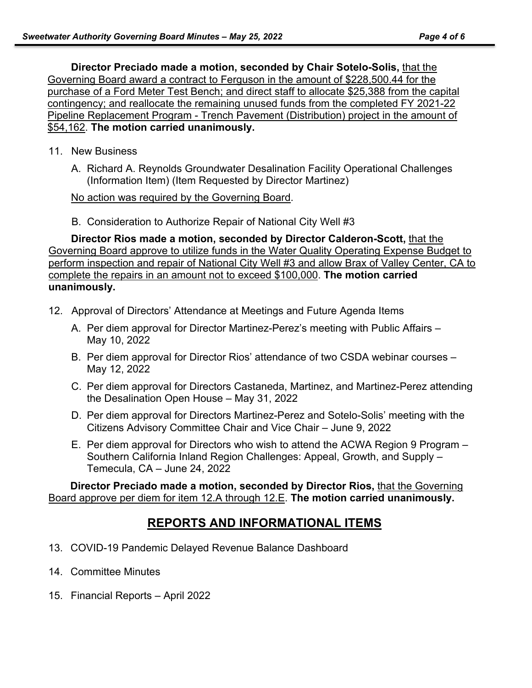**Director Preciado made a motion, seconded by Chair Sotelo-Solis,** that the Governing Board award a contract to Ferguson in the amount of \$228,500.44 for the purchase of a Ford Meter Test Bench; and direct staff to allocate \$25,388 from the capital contingency; and reallocate the remaining unused funds from the completed FY 2021-22 Pipeline Replacement Program - Trench Pavement (Distribution) project in the amount of \$54,162. **The motion carried unanimously.**

- 11. New Business
	- A. Richard A. Reynolds Groundwater Desalination Facility Operational Challenges (Information Item) (Item Requested by Director Martinez)

No action was required by the Governing Board.

B. Consideration to Authorize Repair of National City Well #3

**Director Rios made a motion, seconded by Director Calderon-Scott,** that the Governing Board approve to utilize funds in the Water Quality Operating Expense Budget to perform inspection and repair of National City Well #3 and allow Brax of Valley Center, CA to complete the repairs in an amount not to exceed \$100,000. **The motion carried unanimously.**

- 12. Approval of Directors' Attendance at Meetings and Future Agenda Items
	- A. Per diem approval for Director Martinez-Perez's meeting with Public Affairs May 10, 2022
	- B. Per diem approval for Director Rios' attendance of two CSDA webinar courses May 12, 2022
	- C. Per diem approval for Directors Castaneda, Martinez, and Martinez-Perez attending the Desalination Open House – May 31, 2022
	- D. Per diem approval for Directors Martinez-Perez and Sotelo-Solis' meeting with the Citizens Advisory Committee Chair and Vice Chair – June 9, 2022
	- E. Per diem approval for Directors who wish to attend the ACWA Region 9 Program Southern California Inland Region Challenges: Appeal, Growth, and Supply – Temecula, CA – June 24, 2022

**Director Preciado made a motion, seconded by Director Rios,** that the Governing Board approve per diem for item 12.A through 12.E. **The motion carried unanimously.**

# **REPORTS AND INFORMATIONAL ITEMS**

- 13. COVID-19 Pandemic Delayed Revenue Balance Dashboard
- 14. Committee Minutes
- 15. Financial Reports April 2022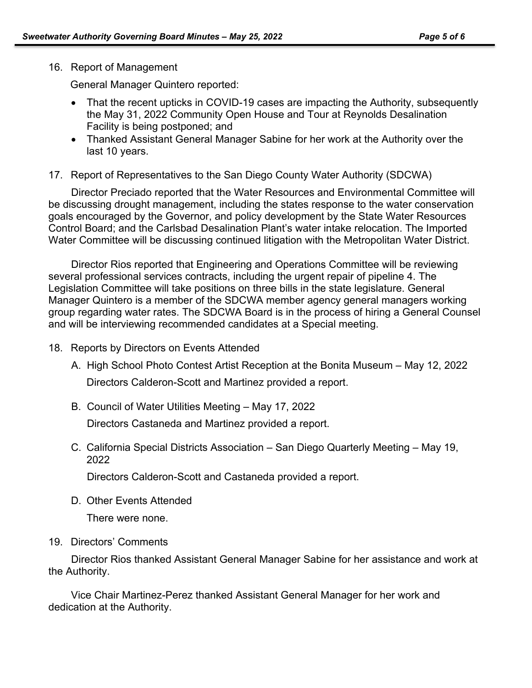### 16. Report of Management

General Manager Quintero reported:

- That the recent upticks in COVID-19 cases are impacting the Authority, subsequently the May 31, 2022 Community Open House and Tour at Reynolds Desalination Facility is being postponed; and
- Thanked Assistant General Manager Sabine for her work at the Authority over the last 10 years.
- 17. Report of Representatives to the San Diego County Water Authority (SDCWA)

Director Preciado reported that the Water Resources and Environmental Committee will be discussing drought management, including the states response to the water conservation goals encouraged by the Governor, and policy development by the State Water Resources Control Board; and the Carlsbad Desalination Plant's water intake relocation. The Imported Water Committee will be discussing continued litigation with the Metropolitan Water District.

Director Rios reported that Engineering and Operations Committee will be reviewing several professional services contracts, including the urgent repair of pipeline 4. The Legislation Committee will take positions on three bills in the state legislature. General Manager Quintero is a member of the SDCWA member agency general managers working group regarding water rates. The SDCWA Board is in the process of hiring a General Counsel and will be interviewing recommended candidates at a Special meeting.

- 18. Reports by Directors on Events Attended
	- A. High School Photo Contest Artist Reception at the Bonita Museum May 12, 2022 Directors Calderon-Scott and Martinez provided a report.
	- B. Council of Water Utilities Meeting May 17, 2022

Directors Castaneda and Martinez provided a report.

C. California Special Districts Association – San Diego Quarterly Meeting – May 19, 2022

Directors Calderon-Scott and Castaneda provided a report.

D. Other Events Attended

There were none.

## 19. Directors' Comments

 Director Rios thanked Assistant General Manager Sabine for her assistance and work at the Authority.

Vice Chair Martinez-Perez thanked Assistant General Manager for her work and dedication at the Authority.